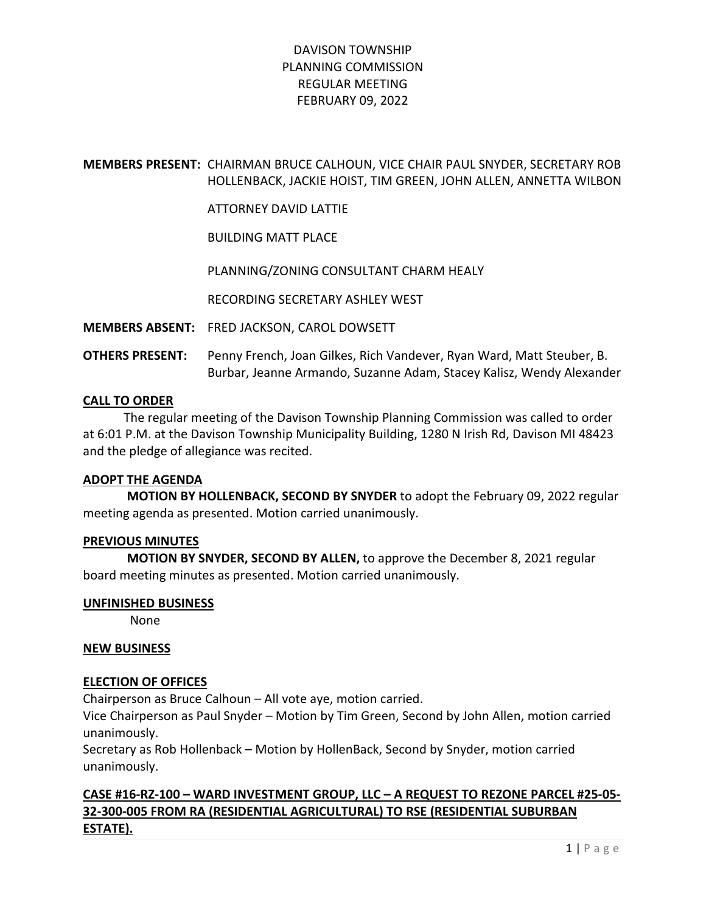# MEMBERS PRESENT: CHAIRMAN BRUCE CALHOUN, VICE CHAIR PAUL SNYDER, SECRETARY ROB HOLLENBACK, JACKIE HOIST, TIM GREEN, JOHN ALLEN, ANNETTA WILBON

ATTORNEY DAVID LATTIE

BUILDING MATT PLACE

PLANNING/ZONING CONSULTANT CHARM HEALY

RECORDING SECRETARY ASHLEY WEST

MEMBERS ABSENT: FRED JACKSON, CAROL DOWSETT

OTHERS PRESENT: Penny French, Joan Gilkes, Rich Vandever, Ryan Ward, Matt Steuber, B. Burbar, Jeanne Armando, Suzanne Adam, Stacey Kalisz, Wendy Alexander

### CALL TO ORDER

 The regular meeting of the Davison Township Planning Commission was called to order at 6:01 P.M. at the Davison Township Municipality Building, 1280 N Irish Rd, Davison MI 48423 and the pledge of allegiance was recited.

#### ADOPT THE AGENDA

 MOTION BY HOLLENBACK, SECOND BY SNYDER to adopt the February 09, 2022 regular meeting agenda as presented. Motion carried unanimously.

#### PREVIOUS MINUTES

 MOTION BY SNYDER, SECOND BY ALLEN, to approve the December 8, 2021 regular board meeting minutes as presented. Motion carried unanimously.

#### UNFINISHED BUSINESS

None

#### NEW BUSINESS

### ELECTION OF OFFICES

Chairperson as Bruce Calhoun – All vote aye, motion carried.

Vice Chairperson as Paul Snyder – Motion by Tim Green, Second by John Allen, motion carried unanimously.

Secretary as Rob Hollenback – Motion by HollenBack, Second by Snyder, motion carried unanimously.

# CASE #16-RZ-100 – WARD INVESTMENT GROUP, LLC – A REQUEST TO REZONE PARCEL #25-05- 32-300-005 FROM RA (RESIDENTIAL AGRICULTURAL) TO RSE (RESIDENTIAL SUBURBAN ESTATE).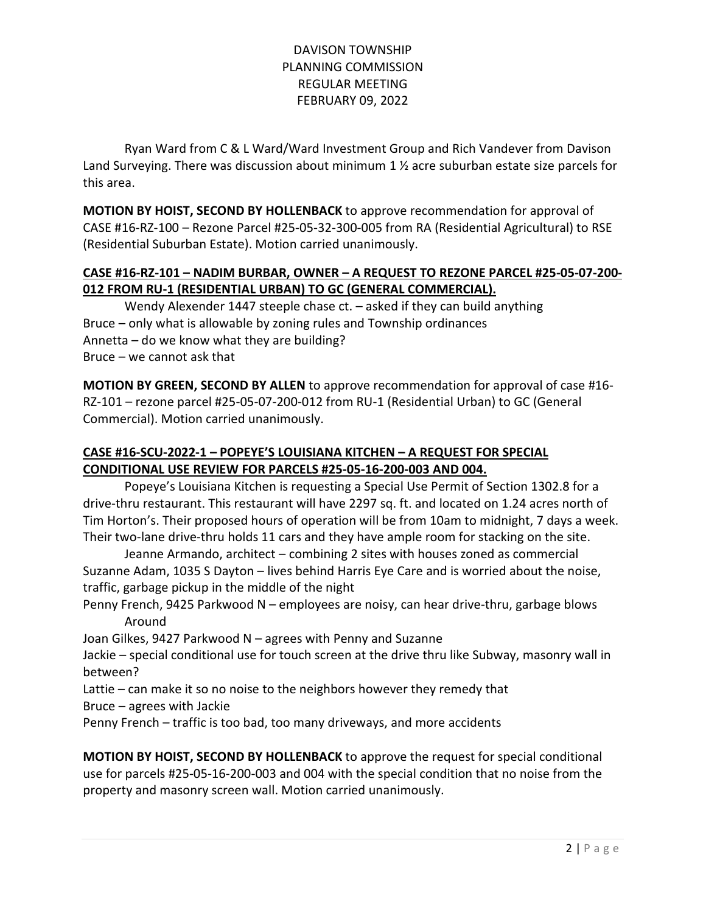Ryan Ward from C & L Ward/Ward Investment Group and Rich Vandever from Davison Land Surveying. There was discussion about minimum 1 % acre suburban estate size parcels for this area.

MOTION BY HOIST, SECOND BY HOLLENBACK to approve recommendation for approval of CASE #16-RZ-100 – Rezone Parcel #25-05-32-300-005 from RA (Residential Agricultural) to RSE (Residential Suburban Estate). Motion carried unanimously.

## CASE #16-RZ-101 – NADIM BURBAR, OWNER – A REQUEST TO REZONE PARCEL #25-05-07-200- 012 FROM RU-1 (RESIDENTIAL URBAN) TO GC (GENERAL COMMERCIAL).

 Wendy Alexender 1447 steeple chase ct. – asked if they can build anything Bruce – only what is allowable by zoning rules and Township ordinances Annetta – do we know what they are building? Bruce – we cannot ask that

MOTION BY GREEN, SECOND BY ALLEN to approve recommendation for approval of case #16- RZ-101 – rezone parcel #25-05-07-200-012 from RU-1 (Residential Urban) to GC (General Commercial). Motion carried unanimously.

# CASE #16-SCU-2022-1 – POPEYE'S LOUISIANA KITCHEN – A REQUEST FOR SPECIAL CONDITIONAL USE REVIEW FOR PARCELS #25-05-16-200-003 AND 004.

 Popeye's Louisiana Kitchen is requesting a Special Use Permit of Section 1302.8 for a drive-thru restaurant. This restaurant will have 2297 sq. ft. and located on 1.24 acres north of Tim Horton's. Their proposed hours of operation will be from 10am to midnight, 7 days a week. Their two-lane drive-thru holds 11 cars and they have ample room for stacking on the site.

 Jeanne Armando, architect – combining 2 sites with houses zoned as commercial Suzanne Adam, 1035 S Dayton – lives behind Harris Eye Care and is worried about the noise, traffic, garbage pickup in the middle of the night

Penny French, 9425 Parkwood N – employees are noisy, can hear drive-thru, garbage blows Around

Joan Gilkes, 9427 Parkwood N – agrees with Penny and Suzanne

Jackie – special conditional use for touch screen at the drive thru like Subway, masonry wall in between?

Lattie – can make it so no noise to the neighbors however they remedy that

Bruce – agrees with Jackie

Penny French – traffic is too bad, too many driveways, and more accidents

MOTION BY HOIST, SECOND BY HOLLENBACK to approve the request for special conditional use for parcels #25-05-16-200-003 and 004 with the special condition that no noise from the property and masonry screen wall. Motion carried unanimously.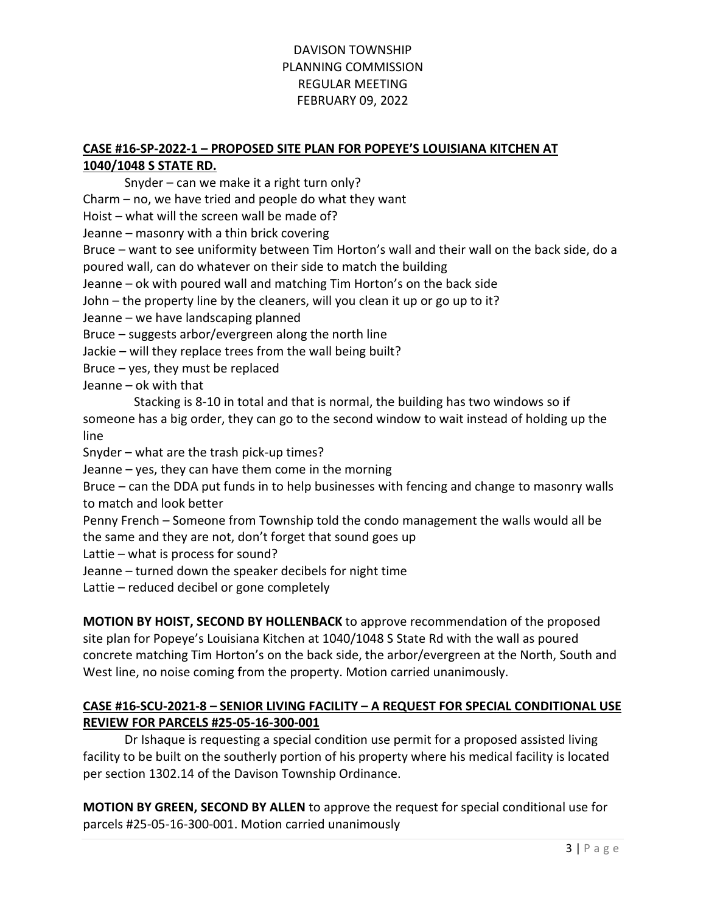### CASE #16-SP-2022-1 – PROPOSED SITE PLAN FOR POPEYE'S LOUISIANA KITCHEN AT 1040/1048 S STATE RD.

Snyder – can we make it a right turn only?

Charm – no, we have tried and people do what they want

Hoist – what will the screen wall be made of?

Jeanne – masonry with a thin brick covering

Bruce – want to see uniformity between Tim Horton's wall and their wall on the back side, do a poured wall, can do whatever on their side to match the building

Jeanne – ok with poured wall and matching Tim Horton's on the back side

John – the property line by the cleaners, will you clean it up or go up to it?

Jeanne – we have landscaping planned

Bruce – suggests arbor/evergreen along the north line

Jackie – will they replace trees from the wall being built?

Bruce – yes, they must be replaced

Jeanne – ok with that

 Stacking is 8-10 in total and that is normal, the building has two windows so if someone has a big order, they can go to the second window to wait instead of holding up the line

Snyder – what are the trash pick-up times?

Jeanne – yes, they can have them come in the morning

Bruce – can the DDA put funds in to help businesses with fencing and change to masonry walls to match and look better

Penny French – Someone from Township told the condo management the walls would all be the same and they are not, don't forget that sound goes up

Lattie – what is process for sound?

Jeanne – turned down the speaker decibels for night time

Lattie – reduced decibel or gone completely

MOTION BY HOIST, SECOND BY HOLLENBACK to approve recommendation of the proposed site plan for Popeye's Louisiana Kitchen at 1040/1048 S State Rd with the wall as poured concrete matching Tim Horton's on the back side, the arbor/evergreen at the North, South and West line, no noise coming from the property. Motion carried unanimously.

## CASE #16-SCU-2021-8 – SENIOR LIVING FACILITY – A REQUEST FOR SPECIAL CONDITIONAL USE REVIEW FOR PARCELS #25-05-16-300-001

 Dr Ishaque is requesting a special condition use permit for a proposed assisted living facility to be built on the southerly portion of his property where his medical facility is located per section 1302.14 of the Davison Township Ordinance.

MOTION BY GREEN, SECOND BY ALLEN to approve the request for special conditional use for parcels #25-05-16-300-001. Motion carried unanimously